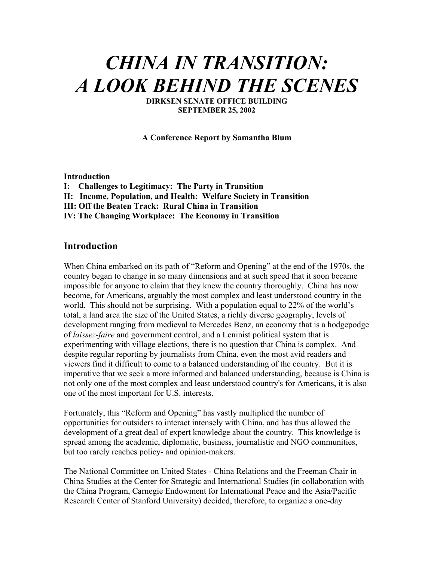# *CHINA IN TRANSITION: A LOOK BEHIND THE SCENES*

**DIRKSEN SENATE OFFICE BUILDING SEPTEMBER 25, 2002**

**A Conference Report by Samantha Blum** 

**Introduction** 

- **I: Challenges to Legitimacy: The Party in Transition**
- **II: Income, Population, and Health: Welfare Society in Transition**
- **III: Off the Beaten Track: Rural China in Transition**
- **IV: The Changing Workplace: The Economy in Transition**

# **Introduction**

When China embarked on its path of "Reform and Opening" at the end of the 1970s, the country began to change in so many dimensions and at such speed that it soon became impossible for anyone to claim that they knew the country thoroughly. China has now become, for Americans, arguably the most complex and least understood country in the world. This should not be surprising. With a population equal to 22% of the world's total, a land area the size of the United States, a richly diverse geography, levels of development ranging from medieval to Mercedes Benz, an economy that is a hodgepodge of *laissez-faire* and government control, and a Leninist political system that is experimenting with village elections, there is no question that China is complex. And despite regular reporting by journalists from China, even the most avid readers and viewers find it difficult to come to a balanced understanding of the country. But it is imperative that we seek a more informed and balanced understanding, because is China is not only one of the most complex and least understood country's for Americans, it is also one of the most important for U.S. interests.

Fortunately, this "Reform and Opening" has vastly multiplied the number of opportunities for outsiders to interact intensely with China, and has thus allowed the development of a great deal of expert knowledge about the country. This knowledge is spread among the academic, diplomatic, business, journalistic and NGO communities, but too rarely reaches policy- and opinion-makers.

The National Committee on United States - China Relations and the Freeman Chair in China Studies at the Center for Strategic and International Studies (in collaboration with the China Program, Carnegie Endowment for International Peace and the Asia/Pacific Research Center of Stanford University) decided, therefore, to organize a one-day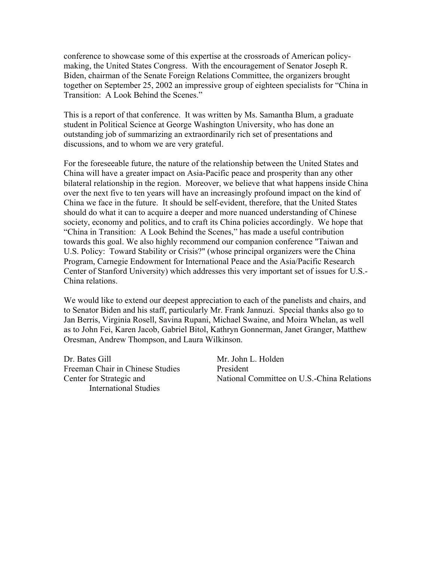conference to showcase some of this expertise at the crossroads of American policymaking, the United States Congress. With the encouragement of Senator Joseph R. Biden, chairman of the Senate Foreign Relations Committee, the organizers brought together on September 25, 2002 an impressive group of eighteen specialists for "China in Transition: A Look Behind the Scenes."

This is a report of that conference. It was written by Ms. Samantha Blum, a graduate student in Political Science at George Washington University, who has done an outstanding job of summarizing an extraordinarily rich set of presentations and discussions, and to whom we are very grateful.

For the foreseeable future, the nature of the relationship between the United States and China will have a greater impact on Asia-Pacific peace and prosperity than any other bilateral relationship in the region. Moreover, we believe that what happens inside China over the next five to ten years will have an increasingly profound impact on the kind of China we face in the future. It should be self-evident, therefore, that the United States should do what it can to acquire a deeper and more nuanced understanding of Chinese society, economy and politics, and to craft its China policies accordingly. We hope that "China in Transition: A Look Behind the Scenes," has made a useful contribution towards this goal. We also highly recommend our companion conference "Taiwan and U.S. Policy: Toward Stability or Crisis?" (whose principal organizers were the China Program, Carnegie Endowment for International Peace and the Asia/Pacific Research Center of Stanford University) which addresses this very important set of issues for U.S.- China relations.

We would like to extend our deepest appreciation to each of the panelists and chairs, and to Senator Biden and his staff, particularly Mr. Frank Jannuzi. Special thanks also go to Jan Berris, Virginia Rosell, Savina Rupani, Michael Swaine, and Moira Whelan, as well as to John Fei, Karen Jacob, Gabriel Bitol, Kathryn Gonnerman, Janet Granger, Matthew Oresman, Andrew Thompson, and Laura Wilkinson.

Dr. Bates Gill Mr. John L. Holden Freeman Chair in Chinese Studies President International Studies

Center for Strategic and National Committee on U.S.-China Relations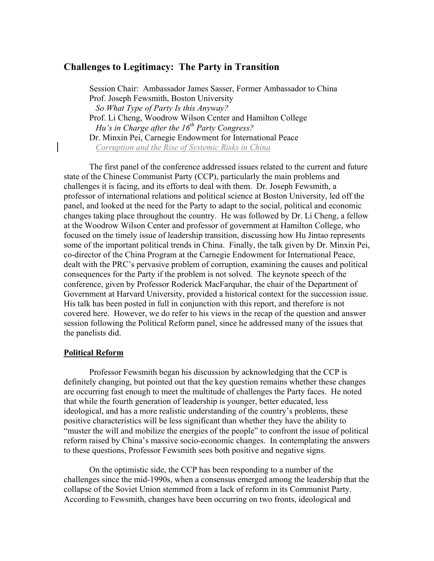# **Challenges to Legitimacy: The Party in Transition**

Session Chair: Ambassador James Sasser, Former Ambassador to China Prof. Joseph Fewsmith, Boston University  *So What Type of Party Is this Anyway?*  Prof. Li Cheng, Woodrow Wilson Center and Hamilton College *Hu's in Charge after the 16<sup>th</sup> Party Congress?*  Dr. Minxin Pei, Carnegie Endowment for International Peace  *Corruption and the Rise of Systemic Risks in China*

The first panel of the conference addressed issues related to the current and future state of the Chinese Communist Party (CCP), particularly the main problems and challenges it is facing, and its efforts to deal with them. Dr. Joseph Fewsmith, a professor of international relations and political science at Boston University, led off the panel, and looked at the need for the Party to adapt to the social, political and economic changes taking place throughout the country. He was followed by Dr. Li Cheng, a fellow at the Woodrow Wilson Center and professor of government at Hamilton College, who focused on the timely issue of leadership transition, discussing how Hu Jintao represents some of the important political trends in China. Finally, the talk given by Dr. Minxin Pei, co-director of the China Program at the Carnegie Endowment for International Peace, dealt with the PRC's pervasive problem of corruption, examining the causes and political consequences for the Party if the problem is not solved. The keynote speech of the conference, given by Professor Roderick MacFarquhar, the chair of the Department of Government at Harvard University, provided a historical context for the succession issue. His talk has been posted in full in conjunction with this report, and therefore is not covered here. However, we do refer to his views in the recap of the question and answer session following the Political Reform panel, since he addressed many of the issues that the panelists did.

## **Political Reform**

 Professor Fewsmith began his discussion by acknowledging that the CCP is definitely changing, but pointed out that the key question remains whether these changes are occurring fast enough to meet the multitude of challenges the Party faces. He noted that while the fourth generation of leadership is younger, better educated, less ideological, and has a more realistic understanding of the country's problems, these positive characteristics will be less significant than whether they have the ability to "muster the will and mobilize the energies of the people" to confront the issue of political reform raised by China's massive socio-economic changes. In contemplating the answers to these questions, Professor Fewsmith sees both positive and negative signs.

 On the optimistic side, the CCP has been responding to a number of the challenges since the mid-1990s, when a consensus emerged among the leadership that the collapse of the Soviet Union stemmed from a lack of reform in its Communist Party. According to Fewsmith, changes have been occurring on two fronts, ideological and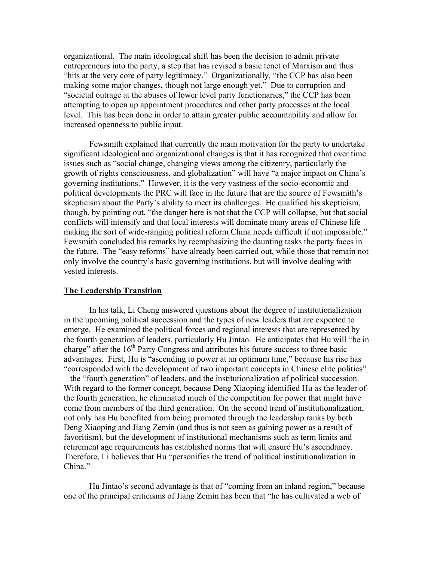organizational. The main ideological shift has been the decision to admit private entrepreneurs into the party, a step that has revised a basic tenet of Marxism and thus "hits at the very core of party legitimacy." Organizationally, "the CCP has also been making some major changes, though not large enough yet." Due to corruption and "societal outrage at the abuses of lower level party functionaries," the CCP has been attempting to open up appointment procedures and other party processes at the local level. This has been done in order to attain greater public accountability and allow for increased openness to public input.

 Fewsmith explained that currently the main motivation for the party to undertake significant ideological and organizational changes is that it has recognized that over time issues such as "social change, changing views among the citizenry, particularly the growth of rights consciousness, and globalization" will have "a major impact on China's governing institutions." However, it is the very vastness of the socio-economic and political developments the PRC will face in the future that are the source of Fewsmith's skepticism about the Party's ability to meet its challenges. He qualified his skepticism, though, by pointing out, "the danger here is not that the CCP will collapse, but that social conflicts will intensify and that local interests will dominate many areas of Chinese life making the sort of wide-ranging political reform China needs difficult if not impossible." Fewsmith concluded his remarks by reemphasizing the daunting tasks the party faces in the future. The "easy reforms" have already been carried out, while those that remain not only involve the country's basic governing institutions, but will involve dealing with vested interests.

## **The Leadership Transition**

 In his talk, Li Cheng answered questions about the degree of institutionalization in the upcoming political succession and the types of new leaders that are expected to emerge. He examined the political forces and regional interests that are represented by the fourth generation of leaders, particularly Hu Jintao. He anticipates that Hu will "be in charge" after the  $16<sup>th</sup>$  Party Congress and attributes his future success to three basic advantages. First, Hu is "ascending to power at an optimum time," because his rise has "corresponded with the development of two important concepts in Chinese elite politics" – the "fourth generation" of leaders, and the institutionalization of political succession. With regard to the former concept, because Deng Xiaoping identified Hu as the leader of the fourth generation, he eliminated much of the competition for power that might have come from members of the third generation. On the second trend of institutionalization, not only has Hu benefited from being promoted through the leadership ranks by both Deng Xiaoping and Jiang Zemin (and thus is not seen as gaining power as a result of favoritism), but the development of institutional mechanisms such as term limits and retirement age requirements has established norms that will ensure Hu's ascendancy. Therefore, Li believes that Hu "personifies the trend of political institutionalization in China."

 Hu Jintao's second advantage is that of "coming from an inland region," because one of the principal criticisms of Jiang Zemin has been that "he has cultivated a web of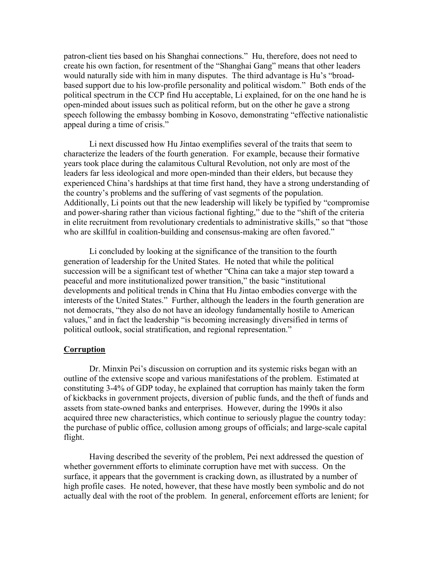patron-client ties based on his Shanghai connections." Hu, therefore, does not need to create his own faction, for resentment of the "Shanghai Gang" means that other leaders would naturally side with him in many disputes. The third advantage is Hu's "broadbased support due to his low-profile personality and political wisdom." Both ends of the political spectrum in the CCP find Hu acceptable, Li explained, for on the one hand he is open-minded about issues such as political reform, but on the other he gave a strong speech following the embassy bombing in Kosovo, demonstrating "effective nationalistic appeal during a time of crisis."

 Li next discussed how Hu Jintao exemplifies several of the traits that seem to characterize the leaders of the fourth generation. For example, because their formative years took place during the calamitous Cultural Revolution, not only are most of the leaders far less ideological and more open-minded than their elders, but because they experienced China's hardships at that time first hand, they have a strong understanding of the country's problems and the suffering of vast segments of the population. Additionally, Li points out that the new leadership will likely be typified by "compromise and power-sharing rather than vicious factional fighting," due to the "shift of the criteria in elite recruitment from revolutionary credentials to administrative skills," so that "those who are skillful in coalition-building and consensus-making are often favored."

 Li concluded by looking at the significance of the transition to the fourth generation of leadership for the United States. He noted that while the political succession will be a significant test of whether "China can take a major step toward a peaceful and more institutionalized power transition," the basic "institutional developments and political trends in China that Hu Jintao embodies converge with the interests of the United States." Further, although the leaders in the fourth generation are not democrats, "they also do not have an ideology fundamentally hostile to American values," and in fact the leadership "is becoming increasingly diversified in terms of political outlook, social stratification, and regional representation."

## **Corruption**

 Dr. Minxin Pei's discussion on corruption and its systemic risks began with an outline of the extensive scope and various manifestations of the problem. Estimated at constituting 3-4% of GDP today, he explained that corruption has mainly taken the form of kickbacks in government projects, diversion of public funds, and the theft of funds and assets from state-owned banks and enterprises. However, during the 1990s it also acquired three new characteristics, which continue to seriously plague the country today: the purchase of public office, collusion among groups of officials; and large-scale capital flight.

 Having described the severity of the problem, Pei next addressed the question of whether government efforts to eliminate corruption have met with success. On the surface, it appears that the government is cracking down, as illustrated by a number of high profile cases. He noted, however, that these have mostly been symbolic and do not actually deal with the root of the problem. In general, enforcement efforts are lenient; for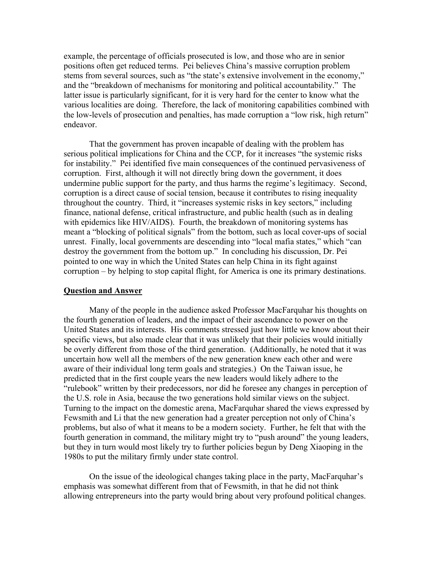example, the percentage of officials prosecuted is low, and those who are in senior positions often get reduced terms. Pei believes China's massive corruption problem stems from several sources, such as "the state's extensive involvement in the economy," and the "breakdown of mechanisms for monitoring and political accountability." The latter issue is particularly significant, for it is very hard for the center to know what the various localities are doing. Therefore, the lack of monitoring capabilities combined with the low-levels of prosecution and penalties, has made corruption a "low risk, high return" endeavor.

 That the government has proven incapable of dealing with the problem has serious political implications for China and the CCP, for it increases "the systemic risks for instability." Pei identified five main consequences of the continued pervasiveness of corruption. First, although it will not directly bring down the government, it does undermine public support for the party, and thus harms the regime's legitimacy. Second, corruption is a direct cause of social tension, because it contributes to rising inequality throughout the country. Third, it "increases systemic risks in key sectors," including finance, national defense, critical infrastructure, and public health (such as in dealing with epidemics like HIV/AIDS). Fourth, the breakdown of monitoring systems has meant a "blocking of political signals" from the bottom, such as local cover-ups of social unrest. Finally, local governments are descending into "local mafia states," which "can destroy the government from the bottom up." In concluding his discussion, Dr. Pei pointed to one way in which the United States can help China in its fight against corruption – by helping to stop capital flight, for America is one its primary destinations.

## **Question and Answer**

 Many of the people in the audience asked Professor MacFarquhar his thoughts on the fourth generation of leaders, and the impact of their ascendance to power on the United States and its interests. His comments stressed just how little we know about their specific views, but also made clear that it was unlikely that their policies would initially be overly different from those of the third generation. (Additionally, he noted that it was uncertain how well all the members of the new generation knew each other and were aware of their individual long term goals and strategies.) On the Taiwan issue, he predicted that in the first couple years the new leaders would likely adhere to the "rulebook" written by their predecessors, nor did he foresee any changes in perception of the U.S. role in Asia, because the two generations hold similar views on the subject. Turning to the impact on the domestic arena, MacFarquhar shared the views expressed by Fewsmith and Li that the new generation had a greater perception not only of China's problems, but also of what it means to be a modern society. Further, he felt that with the fourth generation in command, the military might try to "push around" the young leaders, but they in turn would most likely try to further policies begun by Deng Xiaoping in the 1980s to put the military firmly under state control.

On the issue of the ideological changes taking place in the party, MacFarquhar's emphasis was somewhat different from that of Fewsmith, in that he did not think allowing entrepreneurs into the party would bring about very profound political changes.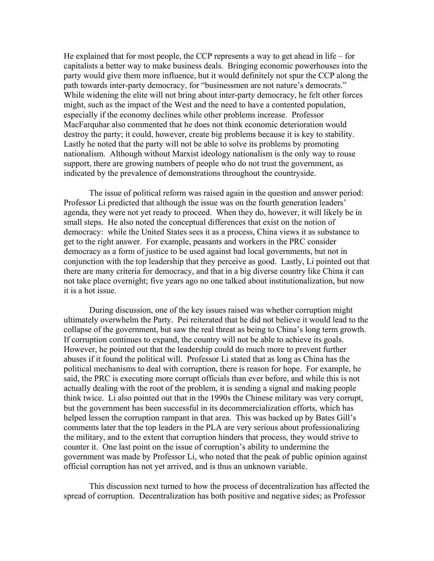He explained that for most people, the CCP represents a way to get ahead in life – for capitalists a better way to make business deals. Bringing economic powerhouses into the party would give them more influence, but it would definitely not spur the CCP along the path towards inter-party democracy, for "businessmen are not nature's democrats." While widening the elite will not bring about inter-party democracy, he felt other forces might, such as the impact of the West and the need to have a contented population, especially if the economy declines while other problems increase. Professor MacFarquhar also commented that he does not think economic deterioration would destroy the party; it could, however, create big problems because it is key to stability. Lastly he noted that the party will not be able to solve its problems by promoting nationalism. Although without Marxist ideology nationalism is the only way to rouse support, there are growing numbers of people who do not trust the government, as indicated by the prevalence of demonstrations throughout the countryside.

The issue of political reform was raised again in the question and answer period: Professor Li predicted that although the issue was on the fourth generation leaders' agenda, they were not yet ready to proceed. When they do, however, it will likely be in small steps. He also noted the conceptual differences that exist on the notion of democracy: while the United States sees it as a process, China views it as substance to get to the right answer. For example, peasants and workers in the PRC consider democracy as a form of justice to be used against bad local governments, but not in conjunction with the top leadership that they perceive as good. Lastly, Li pointed out that there are many criteria for democracy, and that in a big diverse country like China it can not take place overnight; five years ago no one talked about institutionalization, but now it is a hot issue.

During discussion, one of the key issues raised was whether corruption might ultimately overwhelm the Party. Pei reiterated that he did not believe it would lead to the collapse of the government, but saw the real threat as being to China's long term growth. If corruption continues to expand, the country will not be able to achieve its goals. However, he pointed out that the leadership could do much more to prevent further abuses if it found the political will. Professor Li stated that as long as China has the political mechanisms to deal with corruption, there is reason for hope. For example, he said, the PRC is executing more corrupt officials than ever before, and while this is not actually dealing with the root of the problem, it is sending a signal and making people think twice. Li also pointed out that in the 1990s the Chinese military was very corrupt, but the government has been successful in its decommercialization efforts, which has helped lessen the corruption rampant in that area. This was backed up by Bates Gill's comments later that the top leaders in the PLA are very serious about professionalizing the military, and to the extent that corruption hinders that process, they would strive to counter it. One last point on the issue of corruption's ability to undermine the government was made by Professor Li, who noted that the peak of public opinion against official corruption has not yet arrived, and is thus an unknown variable.

 This discussion next turned to how the process of decentralization has affected the spread of corruption. Decentralization has both positive and negative sides; as Professor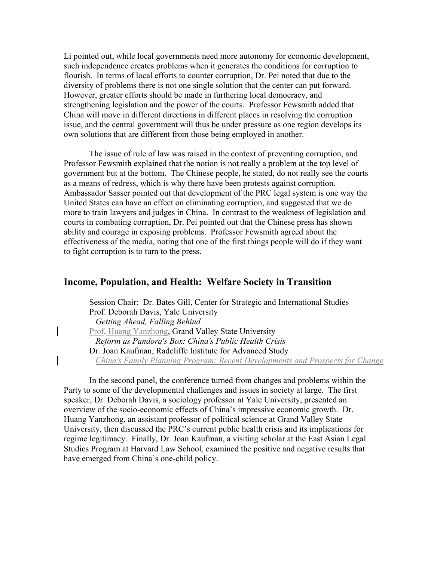Li pointed out, while local governments need more autonomy for economic development, such independence creates problems when it generates the conditions for corruption to flourish. In terms of local efforts to counter corruption, Dr. Pei noted that due to the diversity of problems there is not one single solution that the center can put forward. However, greater efforts should be made in furthering local democracy, and strengthening legislation and the power of the courts. Professor Fewsmith added that China will move in different directions in different places in resolving the corruption issue, and the central government will thus be under pressure as one region develops its own solutions that are different from those being employed in another.

 The issue of rule of law was raised in the context of preventing corruption, and Professor Fewsmith explained that the notion is not really a problem at the top level of government but at the bottom. The Chinese people, he stated, do not really see the courts as a means of redress, which is why there have been protests against corruption. Ambassador Sasser pointed out that development of the PRC legal system is one way the United States can have an effect on eliminating corruption, and suggested that we do more to train lawyers and judges in China. In contrast to the weakness of legislation and courts in combating corruption, Dr. Pei pointed out that the Chinese press has shown ability and courage in exposing problems. Professor Fewsmith agreed about the effectiveness of the media, noting that one of the first things people will do if they want to fight corruption is to turn to the press.

# **Income, Population, and Health: Welfare Society in Transition**

Session Chair: Dr. Bates Gill, Center for Strategic and International Studies Prof. Deborah Davis, Yale University  *Getting Ahead, Falling Behind*  Prof. Huang Yanzhong, Grand Valley State University  *Reform as Pandora's Box: China's Public Health Crisis*  Dr. Joan Kaufman, Radcliffe Institute for Advanced Study  *China's Family Planning Program: Recent Developments and Prospects for Change*

 In the second panel, the conference turned from changes and problems within the Party to some of the developmental challenges and issues in society at large. The first speaker, Dr. Deborah Davis, a sociology professor at Yale University, presented an overview of the socio-economic effects of China's impressive economic growth. Dr. Huang Yanzhong, an assistant professor of political science at Grand Valley State University, then discussed the PRC's current public health crisis and its implications for regime legitimacy. Finally, Dr. Joan Kaufman, a visiting scholar at the East Asian Legal Studies Program at Harvard Law School, examined the positive and negative results that have emerged from China's one-child policy.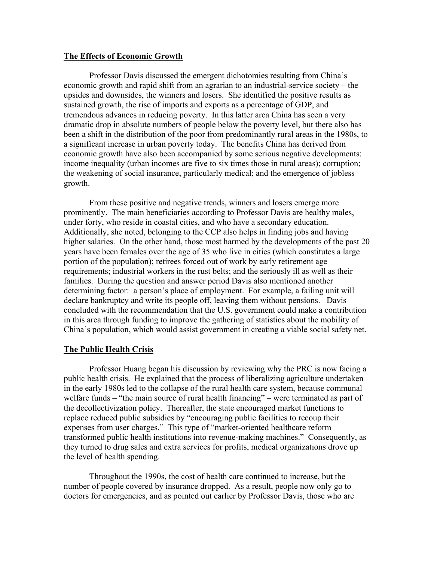## **The Effects of Economic Growth**

 Professor Davis discussed the emergent dichotomies resulting from China's economic growth and rapid shift from an agrarian to an industrial-service society – the upsides and downsides, the winners and losers. She identified the positive results as sustained growth, the rise of imports and exports as a percentage of GDP, and tremendous advances in reducing poverty. In this latter area China has seen a very dramatic drop in absolute numbers of people below the poverty level, but there also has been a shift in the distribution of the poor from predominantly rural areas in the 1980s, to a significant increase in urban poverty today. The benefits China has derived from economic growth have also been accompanied by some serious negative developments: income inequality (urban incomes are five to six times those in rural areas); corruption; the weakening of social insurance, particularly medical; and the emergence of jobless growth.

 From these positive and negative trends, winners and losers emerge more prominently. The main beneficiaries according to Professor Davis are healthy males, under forty, who reside in coastal cities, and who have a secondary education. Additionally, she noted, belonging to the CCP also helps in finding jobs and having higher salaries. On the other hand, those most harmed by the developments of the past 20 years have been females over the age of 35 who live in cities (which constitutes a large portion of the population); retirees forced out of work by early retirement age requirements; industrial workers in the rust belts; and the seriously ill as well as their families. During the question and answer period Davis also mentioned another determining factor: a person's place of employment. For example, a failing unit will declare bankruptcy and write its people off, leaving them without pensions. Davis concluded with the recommendation that the U.S. government could make a contribution in this area through funding to improve the gathering of statistics about the mobility of China's population, which would assist government in creating a viable social safety net.

#### **The Public Health Crisis**

 Professor Huang began his discussion by reviewing why the PRC is now facing a public health crisis. He explained that the process of liberalizing agriculture undertaken in the early 1980s led to the collapse of the rural health care system, because communal welfare funds – "the main source of rural health financing" – were terminated as part of the decollectivization policy. Thereafter, the state encouraged market functions to replace reduced public subsidies by "encouraging public facilities to recoup their expenses from user charges." This type of "market-oriented healthcare reform transformed public health institutions into revenue-making machines." Consequently, as they turned to drug sales and extra services for profits, medical organizations drove up the level of health spending.

 Throughout the 1990s, the cost of health care continued to increase, but the number of people covered by insurance dropped. As a result, people now only go to doctors for emergencies, and as pointed out earlier by Professor Davis, those who are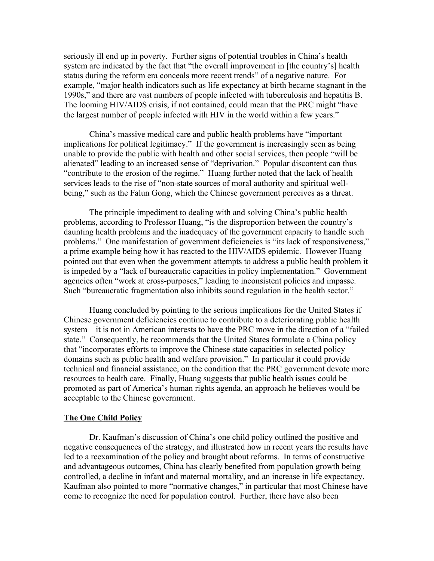seriously ill end up in poverty. Further signs of potential troubles in China's health system are indicated by the fact that "the overall improvement in [the country's] health status during the reform era conceals more recent trends" of a negative nature. For example, "major health indicators such as life expectancy at birth became stagnant in the 1990s," and there are vast numbers of people infected with tuberculosis and hepatitis B. The looming HIV/AIDS crisis, if not contained, could mean that the PRC might "have the largest number of people infected with HIV in the world within a few years."

 China's massive medical care and public health problems have "important implications for political legitimacy." If the government is increasingly seen as being unable to provide the public with health and other social services, then people "will be alienated" leading to an increased sense of "deprivation." Popular discontent can thus "contribute to the erosion of the regime." Huang further noted that the lack of health services leads to the rise of "non-state sources of moral authority and spiritual wellbeing," such as the Falun Gong, which the Chinese government perceives as a threat.

 The principle impediment to dealing with and solving China's public health problems, according to Professor Huang, "is the disproportion between the country's daunting health problems and the inadequacy of the government capacity to handle such problems." One manifestation of government deficiencies is "its lack of responsiveness," a prime example being how it has reacted to the HIV/AIDS epidemic. However Huang pointed out that even when the government attempts to address a public health problem it is impeded by a "lack of bureaucratic capacities in policy implementation." Government agencies often "work at cross-purposes," leading to inconsistent policies and impasse. Such "bureaucratic fragmentation also inhibits sound regulation in the health sector."

 Huang concluded by pointing to the serious implications for the United States if Chinese government deficiencies continue to contribute to a deteriorating public health system – it is not in American interests to have the PRC move in the direction of a "failed state." Consequently, he recommends that the United States formulate a China policy that "incorporates efforts to improve the Chinese state capacities in selected policy domains such as public health and welfare provision." In particular it could provide technical and financial assistance, on the condition that the PRC government devote more resources to health care. Finally, Huang suggests that public health issues could be promoted as part of America's human rights agenda, an approach he believes would be acceptable to the Chinese government.

#### **The One Child Policy**

 Dr. Kaufman's discussion of China's one child policy outlined the positive and negative consequences of the strategy, and illustrated how in recent years the results have led to a reexamination of the policy and brought about reforms. In terms of constructive and advantageous outcomes, China has clearly benefited from population growth being controlled, a decline in infant and maternal mortality, and an increase in life expectancy. Kaufman also pointed to more "normative changes," in particular that most Chinese have come to recognize the need for population control. Further, there have also been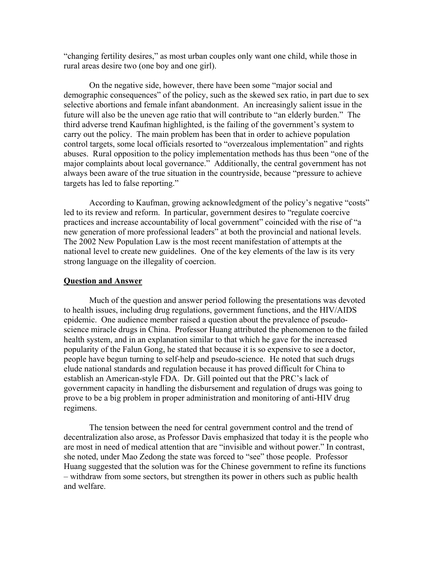"changing fertility desires," as most urban couples only want one child, while those in rural areas desire two (one boy and one girl).

 On the negative side, however, there have been some "major social and demographic consequences" of the policy, such as the skewed sex ratio, in part due to sex selective abortions and female infant abandonment. An increasingly salient issue in the future will also be the uneven age ratio that will contribute to "an elderly burden." The third adverse trend Kaufman highlighted, is the failing of the government's system to carry out the policy. The main problem has been that in order to achieve population control targets, some local officials resorted to "overzealous implementation" and rights abuses. Rural opposition to the policy implementation methods has thus been "one of the major complaints about local governance." Additionally, the central government has not always been aware of the true situation in the countryside, because "pressure to achieve targets has led to false reporting."

 According to Kaufman, growing acknowledgment of the policy's negative "costs" led to its review and reform. In particular, government desires to "regulate coercive practices and increase accountability of local government" coincided with the rise of "a new generation of more professional leaders" at both the provincial and national levels. The 2002 New Population Law is the most recent manifestation of attempts at the national level to create new guidelines. One of the key elements of the law is its very strong language on the illegality of coercion.

#### **Question and Answer**

Much of the question and answer period following the presentations was devoted to health issues, including drug regulations, government functions, and the HIV/AIDS epidemic. One audience member raised a question about the prevalence of pseudoscience miracle drugs in China. Professor Huang attributed the phenomenon to the failed health system, and in an explanation similar to that which he gave for the increased popularity of the Falun Gong, he stated that because it is so expensive to see a doctor, people have begun turning to self-help and pseudo-science. He noted that such drugs elude national standards and regulation because it has proved difficult for China to establish an American-style FDA. Dr. Gill pointed out that the PRC's lack of government capacity in handling the disbursement and regulation of drugs was going to prove to be a big problem in proper administration and monitoring of anti-HIV drug regimens.

The tension between the need for central government control and the trend of decentralization also arose, as Professor Davis emphasized that today it is the people who are most in need of medical attention that are "invisible and without power." In contrast, she noted, under Mao Zedong the state was forced to "see" those people. Professor Huang suggested that the solution was for the Chinese government to refine its functions – withdraw from some sectors, but strengthen its power in others such as public health and welfare.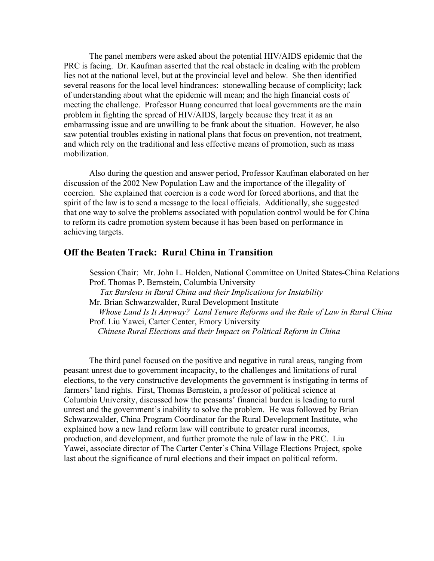The panel members were asked about the potential HIV/AIDS epidemic that the PRC is facing. Dr. Kaufman asserted that the real obstacle in dealing with the problem lies not at the national level, but at the provincial level and below. She then identified several reasons for the local level hindrances: stonewalling because of complicity; lack of understanding about what the epidemic will mean; and the high financial costs of meeting the challenge. Professor Huang concurred that local governments are the main problem in fighting the spread of HIV/AIDS, largely because they treat it as an embarrassing issue and are unwilling to be frank about the situation. However, he also saw potential troubles existing in national plans that focus on prevention, not treatment, and which rely on the traditional and less effective means of promotion, such as mass mobilization.

Also during the question and answer period, Professor Kaufman elaborated on her discussion of the 2002 New Population Law and the importance of the illegality of coercion. She explained that coercion is a code word for forced abortions, and that the spirit of the law is to send a message to the local officials. Additionally, she suggested that one way to solve the problems associated with population control would be for China to reform its cadre promotion system because it has been based on performance in achieving targets.

# **Off the Beaten Track: Rural China in Transition**

 Session Chair: Mr. John L. Holden, National Committee on United States-China Relations Prof. Thomas P. Bernstein, Columbia University  *Tax Burdens in Rural China and their Implications for Instability*  Mr. Brian Schwarzwalder, Rural Development Institute  *Whose Land Is It Anyway? Land Tenure Reforms and the Rule of Law in Rural China*  Prof. Liu Yawei, Carter Center, Emory University  *Chinese Rural Elections and their Impact on Political Reform in China* 

 The third panel focused on the positive and negative in rural areas, ranging from peasant unrest due to government incapacity, to the challenges and limitations of rural elections, to the very constructive developments the government is instigating in terms of farmers' land rights. First, Thomas Bernstein, a professor of political science at Columbia University, discussed how the peasants' financial burden is leading to rural unrest and the government's inability to solve the problem. He was followed by Brian Schwarzwalder, China Program Coordinator for the Rural Development Institute, who explained how a new land reform law will contribute to greater rural incomes, production, and development, and further promote the rule of law in the PRC. Liu Yawei, associate director of The Carter Center's China Village Elections Project, spoke last about the significance of rural elections and their impact on political reform.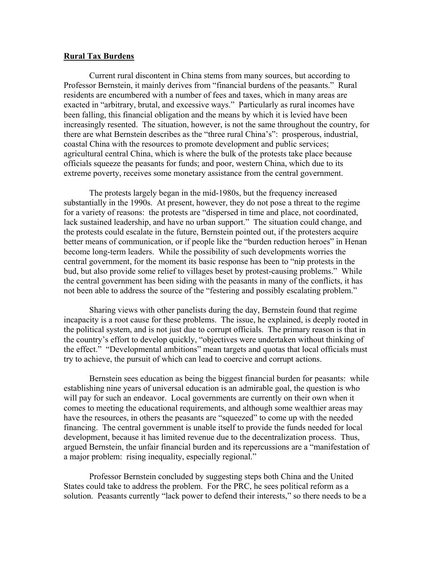## **Rural Tax Burdens**

 Current rural discontent in China stems from many sources, but according to Professor Bernstein, it mainly derives from "financial burdens of the peasants." Rural residents are encumbered with a number of fees and taxes, which in many areas are exacted in "arbitrary, brutal, and excessive ways." Particularly as rural incomes have been falling, this financial obligation and the means by which it is levied have been increasingly resented. The situation, however, is not the same throughout the country, for there are what Bernstein describes as the "three rural China's": prosperous, industrial, coastal China with the resources to promote development and public services; agricultural central China, which is where the bulk of the protests take place because officials squeeze the peasants for funds; and poor, western China, which due to its extreme poverty, receives some monetary assistance from the central government.

 The protests largely began in the mid-1980s, but the frequency increased substantially in the 1990s. At present, however, they do not pose a threat to the regime for a variety of reasons: the protests are "dispersed in time and place, not coordinated, lack sustained leadership, and have no urban support." The situation could change, and the protests could escalate in the future, Bernstein pointed out, if the protesters acquire better means of communication, or if people like the "burden reduction heroes" in Henan become long-term leaders. While the possibility of such developments worries the central government, for the moment its basic response has been to "nip protests in the bud, but also provide some relief to villages beset by protest-causing problems." While the central government has been siding with the peasants in many of the conflicts, it has not been able to address the source of the "festering and possibly escalating problem."

 Sharing views with other panelists during the day, Bernstein found that regime incapacity is a root cause for these problems. The issue, he explained, is deeply rooted in the political system, and is not just due to corrupt officials. The primary reason is that in the country's effort to develop quickly, "objectives were undertaken without thinking of the effect." "Developmental ambitions" mean targets and quotas that local officials must try to achieve, the pursuit of which can lead to coercive and corrupt actions.

Bernstein sees education as being the biggest financial burden for peasants: while establishing nine years of universal education is an admirable goal, the question is who will pay for such an endeavor. Local governments are currently on their own when it comes to meeting the educational requirements, and although some wealthier areas may have the resources, in others the peasants are "squeezed" to come up with the needed financing. The central government is unable itself to provide the funds needed for local development, because it has limited revenue due to the decentralization process. Thus, argued Bernstein, the unfair financial burden and its repercussions are a "manifestation of a major problem: rising inequality, especially regional."

 Professor Bernstein concluded by suggesting steps both China and the United States could take to address the problem. For the PRC, he sees political reform as a solution. Peasants currently "lack power to defend their interests," so there needs to be a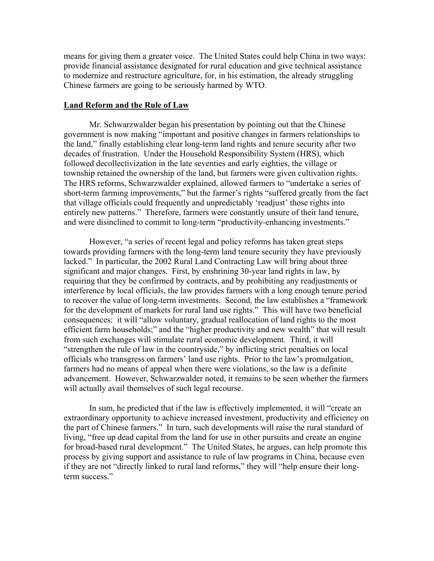means for giving them a greater voice. The United States could help China in two ways: provide financial assistance designated for rural education and give technical assistance to modernize and restructure agriculture, for, in his estimation, the already struggling Chinese farmers are going to be seriously harmed by WTO.

## **Land Reform and the Rule of Law**

 Mr. Schwarzwalder began his presentation by pointing out that the Chinese government is now making "important and positive changes in farmers relationships to the land," finally establishing clear long-term land rights and tenure security after two decades of frustration. Under the Household Responsibility System (HRS), which followed decollectivization in the late seventies and early eighties, the village or township retained the ownership of the land, but farmers were given cultivation rights. The HRS reforms, Schwarzwalder explained, allowed farmers to "undertake a series of short-term farming improvements," but the farmer's rights "suffered greatly from the fact that village officials could frequently and unpredictably 'readjust' those rights into entirely new patterns." Therefore, farmers were constantly unsure of their land tenure, and were disinclined to commit to long-term "productivity-enhancing investments."

 However, "a series of recent legal and policy reforms has taken great steps towards providing farmers with the long-term land tenure security they have previously lacked." In particular, the 2002 Rural Land Contracting Law will bring about three significant and major changes. First, by enshrining 30-year land rights in law, by requiring that they be confirmed by contracts, and by prohibiting any readjustments or interference by local officials, the law provides farmers with a long enough tenure period to recover the value of long-term investments. Second, the law establishes a "framework for the development of markets for rural land use rights." This will have two beneficial consequences: it will "allow voluntary, gradual reallocation of land rights to the most efficient farm households;" and the "higher productivity and new wealth" that will result from such exchanges will stimulate rural economic development. Third, it will "strengthen the rule of law in the countryside," by inflicting strict penalties on local officials who transgress on farmers' land use rights. Prior to the law's promulgation, farmers had no means of appeal when there were violations, so the law is a definite advancement. However, Schwarzwalder noted, it remains to be seen whether the farmers will actually avail themselves of such legal recourse.

 In sum, he predicted that if the law is effectively implemented, it will "create an extraordinary opportunity to achieve increased investment, productivity and efficiency on the part of Chinese farmers." In turn, such developments will raise the rural standard of living, "free up dead capital from the land for use in other pursuits and create an engine for broad-based rural development." The United States, he argues, can help promote this process by giving support and assistance to rule of law programs in China, because even if they are not "directly linked to rural land reforms," they will "help ensure their longterm success."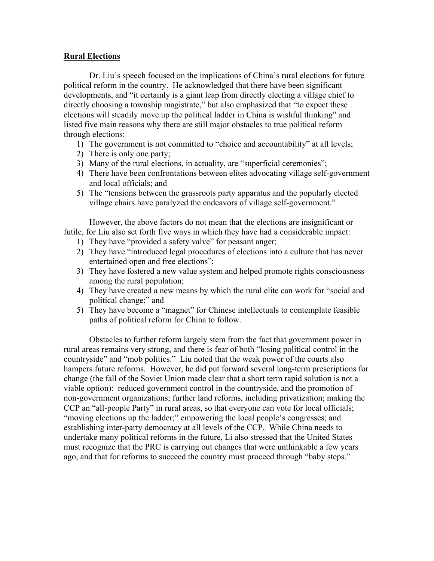## **Rural Elections**

 Dr. Liu's speech focused on the implications of China's rural elections for future political reform in the country. He acknowledged that there have been significant developments, and "it certainly is a giant leap from directly electing a village chief to directly choosing a township magistrate," but also emphasized that "to expect these elections will steadily move up the political ladder in China is wishful thinking" and listed five main reasons why there are still major obstacles to true political reform through elections:

- 1) The government is not committed to "choice and accountability" at all levels;
- 2) There is only one party;
- 3) Many of the rural elections, in actuality, are "superficial ceremonies";
- 4) There have been confrontations between elites advocating village self-government and local officials; and
- 5) The "tensions between the grassroots party apparatus and the popularly elected village chairs have paralyzed the endeavors of village self-government."

 However, the above factors do not mean that the elections are insignificant or futile, for Liu also set forth five ways in which they have had a considerable impact:

- 1) They have "provided a safety valve" for peasant anger;
- 2) They have "introduced legal procedures of elections into a culture that has never entertained open and free elections";
- 3) They have fostered a new value system and helped promote rights consciousness among the rural population;
- 4) They have created a new means by which the rural elite can work for "social and political change;" and
- 5) They have become a "magnet" for Chinese intellectuals to contemplate feasible paths of political reform for China to follow.

 Obstacles to further reform largely stem from the fact that government power in rural areas remains very strong, and there is fear of both "losing political control in the countryside" and "mob politics." Liu noted that the weak power of the courts also hampers future reforms. However, he did put forward several long-term prescriptions for change (the fall of the Soviet Union made clear that a short term rapid solution is not a viable option): reduced government control in the countryside, and the promotion of non-government organizations; further land reforms, including privatization; making the CCP an "all-people Party" in rural areas, so that everyone can vote for local officials; "moving elections up the ladder;" empowering the local people's congresses; and establishing inter-party democracy at all levels of the CCP. While China needs to undertake many political reforms in the future, Li also stressed that the United States must recognize that the PRC is carrying out changes that were unthinkable a few years ago, and that for reforms to succeed the country must proceed through "baby steps."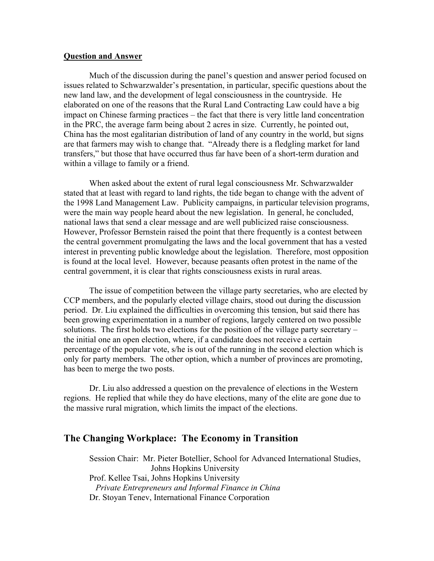## **Question and Answer**

Much of the discussion during the panel's question and answer period focused on issues related to Schwarzwalder's presentation, in particular, specific questions about the new land law, and the development of legal consciousness in the countryside. He elaborated on one of the reasons that the Rural Land Contracting Law could have a big impact on Chinese farming practices – the fact that there is very little land concentration in the PRC, the average farm being about 2 acres in size. Currently, he pointed out, China has the most egalitarian distribution of land of any country in the world, but signs are that farmers may wish to change that. "Already there is a fledgling market for land transfers," but those that have occurred thus far have been of a short-term duration and within a village to family or a friend.

When asked about the extent of rural legal consciousness Mr. Schwarzwalder stated that at least with regard to land rights, the tide began to change with the advent of the 1998 Land Management Law. Publicity campaigns, in particular television programs, were the main way people heard about the new legislation. In general, he concluded, national laws that send a clear message and are well publicized raise consciousness. However, Professor Bernstein raised the point that there frequently is a contest between the central government promulgating the laws and the local government that has a vested interest in preventing public knowledge about the legislation. Therefore, most opposition is found at the local level. However, because peasants often protest in the name of the central government, it is clear that rights consciousness exists in rural areas.

 The issue of competition between the village party secretaries, who are elected by CCP members, and the popularly elected village chairs, stood out during the discussion period. Dr. Liu explained the difficulties in overcoming this tension, but said there has been growing experimentation in a number of regions, largely centered on two possible solutions. The first holds two elections for the position of the village party secretary – the initial one an open election, where, if a candidate does not receive a certain percentage of the popular vote, s/he is out of the running in the second election which is only for party members. The other option, which a number of provinces are promoting, has been to merge the two posts.

Dr. Liu also addressed a question on the prevalence of elections in the Western regions. He replied that while they do have elections, many of the elite are gone due to the massive rural migration, which limits the impact of the elections.

## **The Changing Workplace: The Economy in Transition**

 Session Chair: Mr. Pieter Botellier, School for Advanced International Studies, Johns Hopkins University Prof. Kellee Tsai, Johns Hopkins University  *Private Entrepreneurs and Informal Finance in China*  Dr. Stoyan Tenev, International Finance Corporation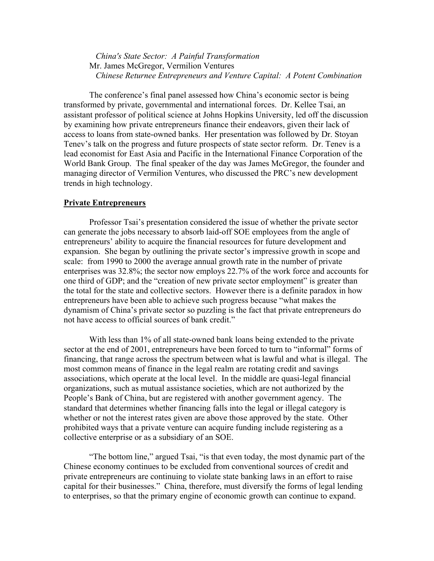*China's State Sector: A Painful Transformation* Mr. James McGregor, Vermilion Ventures  *Chinese Returnee Entrepreneurs and Venture Capital: A Potent Combination* 

The conference's final panel assessed how China's economic sector is being transformed by private, governmental and international forces. Dr. Kellee Tsai, an assistant professor of political science at Johns Hopkins University, led off the discussion by examining how private entrepreneurs finance their endeavors, given their lack of access to loans from state-owned banks. Her presentation was followed by Dr. Stoyan Tenev's talk on the progress and future prospects of state sector reform. Dr. Tenev is a lead economist for East Asia and Pacific in the International Finance Corporation of the World Bank Group. The final speaker of the day was James McGregor, the founder and managing director of Vermilion Ventures, who discussed the PRC's new development trends in high technology.

#### **Private Entrepreneurs**

 Professor Tsai's presentation considered the issue of whether the private sector can generate the jobs necessary to absorb laid-off SOE employees from the angle of entrepreneurs' ability to acquire the financial resources for future development and expansion. She began by outlining the private sector's impressive growth in scope and scale: from 1990 to 2000 the average annual growth rate in the number of private enterprises was 32.8%; the sector now employs 22.7% of the work force and accounts for one third of GDP; and the "creation of new private sector employment" is greater than the total for the state and collective sectors. However there is a definite paradox in how entrepreneurs have been able to achieve such progress because "what makes the dynamism of China's private sector so puzzling is the fact that private entrepreneurs do not have access to official sources of bank credit."

 With less than 1% of all state-owned bank loans being extended to the private sector at the end of 2001, entrepreneurs have been forced to turn to "informal" forms of financing, that range across the spectrum between what is lawful and what is illegal. The most common means of finance in the legal realm are rotating credit and savings associations, which operate at the local level. In the middle are quasi-legal financial organizations, such as mutual assistance societies, which are not authorized by the People's Bank of China, but are registered with another government agency. The standard that determines whether financing falls into the legal or illegal category is whether or not the interest rates given are above those approved by the state. Other prohibited ways that a private venture can acquire funding include registering as a collective enterprise or as a subsidiary of an SOE.

 "The bottom line," argued Tsai, "is that even today, the most dynamic part of the Chinese economy continues to be excluded from conventional sources of credit and private entrepreneurs are continuing to violate state banking laws in an effort to raise capital for their businesses." China, therefore, must diversify the forms of legal lending to enterprises, so that the primary engine of economic growth can continue to expand.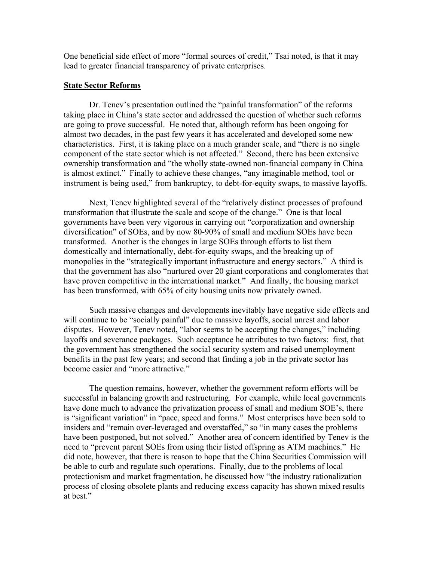One beneficial side effect of more "formal sources of credit," Tsai noted, is that it may lead to greater financial transparency of private enterprises.

## **State Sector Reforms**

 Dr. Tenev's presentation outlined the "painful transformation" of the reforms taking place in China's state sector and addressed the question of whether such reforms are going to prove successful. He noted that, although reform has been ongoing for almost two decades, in the past few years it has accelerated and developed some new characteristics. First, it is taking place on a much grander scale, and "there is no single component of the state sector which is not affected." Second, there has been extensive ownership transformation and "the wholly state-owned non-financial company in China is almost extinct." Finally to achieve these changes, "any imaginable method, tool or instrument is being used," from bankruptcy, to debt-for-equity swaps, to massive layoffs.

 Next, Tenev highlighted several of the "relatively distinct processes of profound transformation that illustrate the scale and scope of the change." One is that local governments have been very vigorous in carrying out "corporatization and ownership diversification" of SOEs, and by now 80-90% of small and medium SOEs have been transformed. Another is the changes in large SOEs through efforts to list them domestically and internationally, debt-for-equity swaps, and the breaking up of monopolies in the "strategically important infrastructure and energy sectors." A third is that the government has also "nurtured over 20 giant corporations and conglomerates that have proven competitive in the international market." And finally, the housing market has been transformed, with 65% of city housing units now privately owned.

 Such massive changes and developments inevitably have negative side effects and will continue to be "socially painful" due to massive layoffs, social unrest and labor disputes. However, Tenev noted, "labor seems to be accepting the changes," including layoffs and severance packages. Such acceptance he attributes to two factors: first, that the government has strengthened the social security system and raised unemployment benefits in the past few years; and second that finding a job in the private sector has become easier and "more attractive."

 The question remains, however, whether the government reform efforts will be successful in balancing growth and restructuring. For example, while local governments have done much to advance the privatization process of small and medium SOE's, there is "significant variation" in "pace, speed and forms." Most enterprises have been sold to insiders and "remain over-leveraged and overstaffed," so "in many cases the problems have been postponed, but not solved." Another area of concern identified by Tenev is the need to "prevent parent SOEs from using their listed offspring as ATM machines." He did note, however, that there is reason to hope that the China Securities Commission will be able to curb and regulate such operations. Finally, due to the problems of local protectionism and market fragmentation, he discussed how "the industry rationalization process of closing obsolete plants and reducing excess capacity has shown mixed results at best."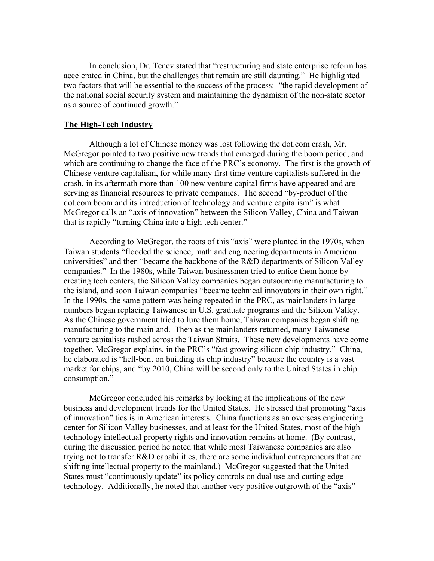In conclusion, Dr. Tenev stated that "restructuring and state enterprise reform has accelerated in China, but the challenges that remain are still daunting." He highlighted two factors that will be essential to the success of the process: "the rapid development of the national social security system and maintaining the dynamism of the non-state sector as a source of continued growth."

#### **The High-Tech Industry**

 Although a lot of Chinese money was lost following the dot.com crash, Mr. McGregor pointed to two positive new trends that emerged during the boom period, and which are continuing to change the face of the PRC's economy. The first is the growth of Chinese venture capitalism, for while many first time venture capitalists suffered in the crash, in its aftermath more than 100 new venture capital firms have appeared and are serving as financial resources to private companies. The second "by-product of the dot.com boom and its introduction of technology and venture capitalism" is what McGregor calls an "axis of innovation" between the Silicon Valley, China and Taiwan that is rapidly "turning China into a high tech center."

 According to McGregor, the roots of this "axis" were planted in the 1970s, when Taiwan students "flooded the science, math and engineering departments in American universities" and then "became the backbone of the R&D departments of Silicon Valley companies." In the 1980s, while Taiwan businessmen tried to entice them home by creating tech centers, the Silicon Valley companies began outsourcing manufacturing to the island, and soon Taiwan companies "became technical innovators in their own right." In the 1990s, the same pattern was being repeated in the PRC, as mainlanders in large numbers began replacing Taiwanese in U.S. graduate programs and the Silicon Valley. As the Chinese government tried to lure them home, Taiwan companies began shifting manufacturing to the mainland. Then as the mainlanders returned, many Taiwanese venture capitalists rushed across the Taiwan Straits. These new developments have come together, McGregor explains, in the PRC's "fast growing silicon chip industry." China, he elaborated is "hell-bent on building its chip industry" because the country is a vast market for chips, and "by 2010, China will be second only to the United States in chip consumption."

 McGregor concluded his remarks by looking at the implications of the new business and development trends for the United States. He stressed that promoting "axis of innovation" ties is in American interests. China functions as an overseas engineering center for Silicon Valley businesses, and at least for the United States, most of the high technology intellectual property rights and innovation remains at home. (By contrast, during the discussion period he noted that while most Taiwanese companies are also trying not to transfer R&D capabilities, there are some individual entrepreneurs that are shifting intellectual property to the mainland.) McGregor suggested that the United States must "continuously update" its policy controls on dual use and cutting edge technology. Additionally, he noted that another very positive outgrowth of the "axis"